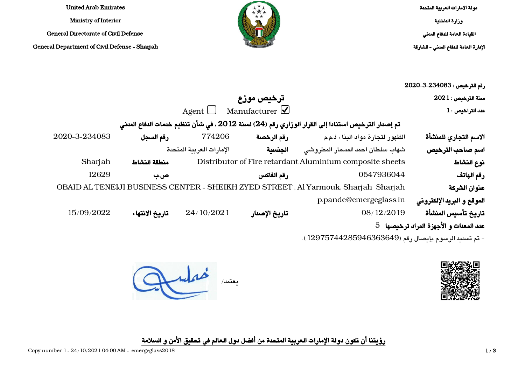دولة الامارات العربية المتحدة وزارة الداخلية القيادة العامة للدفاع المدني الإدارة العامة للدفاع المدني - الشارقة



United Arab Emirates Ministry of Interior General Directorate of Civil Defense General Department of Civil Defense - Sharjah

| رقم الترخيص : 234083-2020 2020         |                                                                                                   |                                  |                          |                |               |
|----------------------------------------|---------------------------------------------------------------------------------------------------|----------------------------------|--------------------------|----------------|---------------|
| $2021:$ سنة الترخيص                    |                                                                                                   | ترخيص موزع                       |                          |                |               |
| $1$ : عدد التراخيص                     |                                                                                                   | Agent $\Box$ Manufacturer $\Box$ |                          |                |               |
|                                        | تم إصدار الترخيص استنادا إلى القرار الوزاري رقم (24) لسنة 2012 ، في شأن تنظيم خدمات الدفاع المدني |                                  |                          |                |               |
| الاسم التجاري للمنشأة                  | الظهور لتجارة مواد البناء ذمء                                                                     | رقم الرخصة                       | 774206                   | رقم السجل      | 2020-3-234083 |
| اسم صاحب الترخيص                       | شهاب سلطان احمد المسمار المطروشى                                                                  | الجنسية                          | الإمارات العربية المتحدة |                |               |
| نوع النشاط                             | Distributor of Fire retardant Aluminium composite sheets                                          |                                  |                          | منطقة النشاط   | Sharjah       |
| رقم الهاتف                             | 0547936044                                                                                        | رقم الفاكس                       |                          | ص ب            | 12629         |
| عنوان الشركة                           | OBAID AL TENEIJI BUSINESS CENTER - SHEIKH ZYED STREET, Al Yarmouk, Sharjah Sharjah                |                                  |                          |                |               |
| الموقع و البريد الإلكتروني             | p.pande@emergeglass.in                                                                            |                                  |                          |                |               |
| تاريخ تأسيس المنشأة                    | 08/12/2019                                                                                        | تاريخ الإصدار                    | 24/10/2021               | تاريخ الانتهاء | 15/09/2022    |
| عدد المعدات و الأجهزة المراد ترخيصها 5 |                                                                                                   |                                  |                          |                |               |
|                                        |                                                                                                   |                                  |                          |                |               |

- تم تسديد الرسوم بإيصال رقم (12975744285946363649).



يعتمد/ همما يبد

رؤيتنا أن تكون دولة الإمارات العربية المتحدة من أفضل دول العالم في تحقيق الأمن و السلامة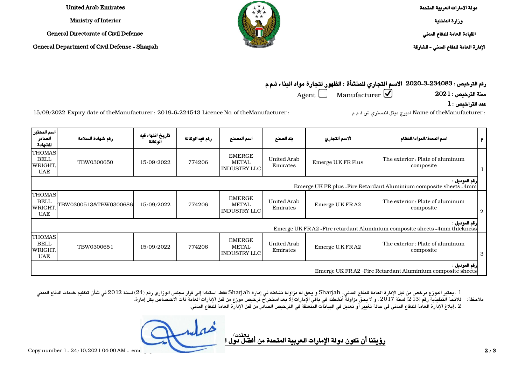Emirates Arab United Ministry of Interior General Directorate of Civil Defense General Department of Civil Defense - Sharjah دولة الامارات العربية المتحدة وزارة الداخلية القيادة العامة للدفاع المدني الإدارة العامة للدفاع المدني - الشارقة

رقم الترخيص : 2020-3-234083 الاسم التجاري للمنشأة : الظهور لتجارة مواد البناء ذ.م.م سنة الترخيص : 2021 Manufacturer Agent

 $\, {\bf 1} \,$ عدد التراخيص

: Name of theManufacturer : عرض ش ذ م م : theManufacturer of theManufacturer اميرج ميتل اندستري ش ذ م م : theManufacturer of .No licence No. of theManufacturer :

اسم المختبر الصادر للشهادة تاريخ انتهاء قيد رقم شهادة السلامة م | اسم المعدة/المواد/النظام الاسم التجاري | بلد الصنع | اسم المصنع | رقم قيد الوكالة الوكالة THOMAS BELL lwright UAE TBW0300650 15/09/2022 774206 EMERGE METAL INDUSTRY LLC **United Arab** The exterior : Plate of aluminum Emerge U.K FR Plus Emirates composite 1 رقم الموديل : Emerge UK FR plus - Fire Retardant Aluminium composite sheets - 4mm THOMAS BELL ,WRIGHT  $IIAF$ TBW0300513&TBW0300686 15/09/2022 774206 EMERGE METAL INDUSTRY LLC **United Arab** The exterior : Plate of aluminum Emerge U.K FRA2 Emirates composite 2 رقم الموديل : Emerge UK FRA2 - Fire retardant Aluminium composite sheets - 4mm thickness THOMAS BELL lwright UAE TBW0300651 15/09/2022 774206 EMERGE METAL INDUSTRY LLC **United Arab** The exterior : Plate of aluminum Emerge U.K FRA2 Emirates composite 3 رقم الموديل : Emerge UK FR A2 - Fire Retardant Aluminium composite sheets

1 . يعتبر الموزع مرخص من قبل الإدارة العامة للدفاع المدني- Sharjah و يحق له مزاولة نشاطه في إمارة Sharjah فقط، استنادا إلى قرار مجلس الوزاري رقم (24) لسنة 2012 في شأن تنظيم خدمات الدفاع المدني ملاحظة: للائحة التنفيذية رقم (213) لسنة 2017 ، و لا يحق مزاولة أنشطته في باقي الإمارات إلا بعد استخراج ترخيص موزع من قبل الإدارات العامة ذات الاختصاص بكل إمارة. 2 . إبلاغ الإدارة العامة للدفاع المدني في حالة تغيير أو تعديل في البيانات المتعلقة في الترخيص الصادر من قبل الإدارة العامة للدفاع المدني.

رؤيتنا أن تكون دولة الإمارات العربية المتحدة من أفضل دول العالم في تحقيق الأمن و المعالمة في تحقيق ا يعتمد/

Copy number  $1 - 24/10/202104.00$  AM  $\cdot$  emergence of  $2/3$